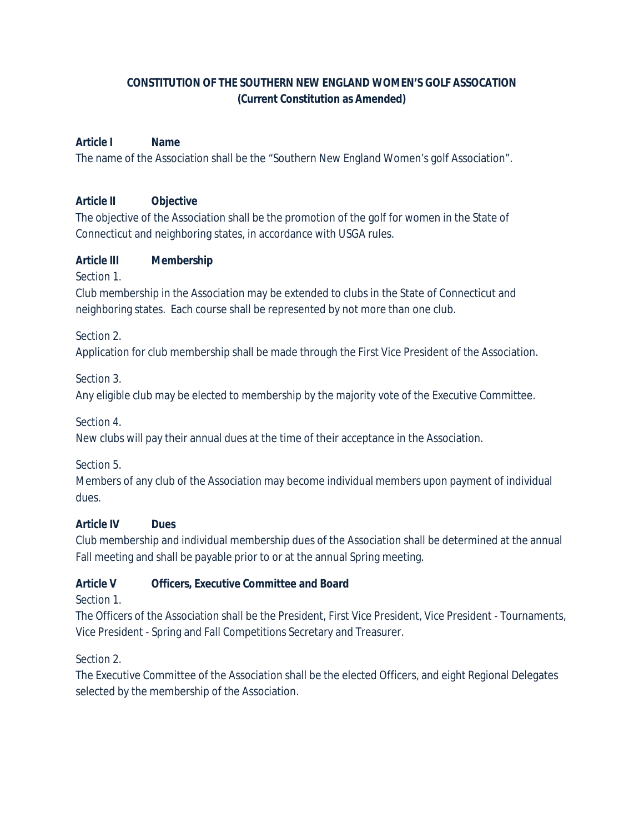# **CONSTITUTION OF THE SOUTHERN NEW ENGLAND WOMEN'S GOLF ASSOCATION (Current Constitution as Amended)**

## **Article I Name**

The name of the Association shall be the "Southern New England Women's golf Association".

### **Article II Objective**

The objective of the Association shall be the promotion of the golf for women in the State of Connecticut and neighboring states, in accordance with USGA rules.

### **Article III Membership**

Section 1.

Club membership in the Association may be extended to clubs in the State of Connecticut and neighboring states. Each course shall be represented by not more than one club.

Section 2.

Application for club membership shall be made through the First Vice President of the Association.

Section 3.

Any eligible club may be elected to membership by the majority vote of the Executive Committee.

Section 4.

New clubs will pay their annual dues at the time of their acceptance in the Association.

Section 5.

Members of any club of the Association may become individual members upon payment of individual dues.

## **Article IV Dues**

Club membership and individual membership dues of the Association shall be determined at the annual Fall meeting and shall be payable prior to or at the annual Spring meeting.

## **Article V Officers, Executive Committee and Board**

Section 1.

The Officers of the Association shall be the President, First Vice President, Vice President - Tournaments, Vice President - Spring and Fall Competitions Secretary and Treasurer.

Section 2.

The Executive Committee of the Association shall be the elected Officers, and eight Regional Delegates selected by the membership of the Association.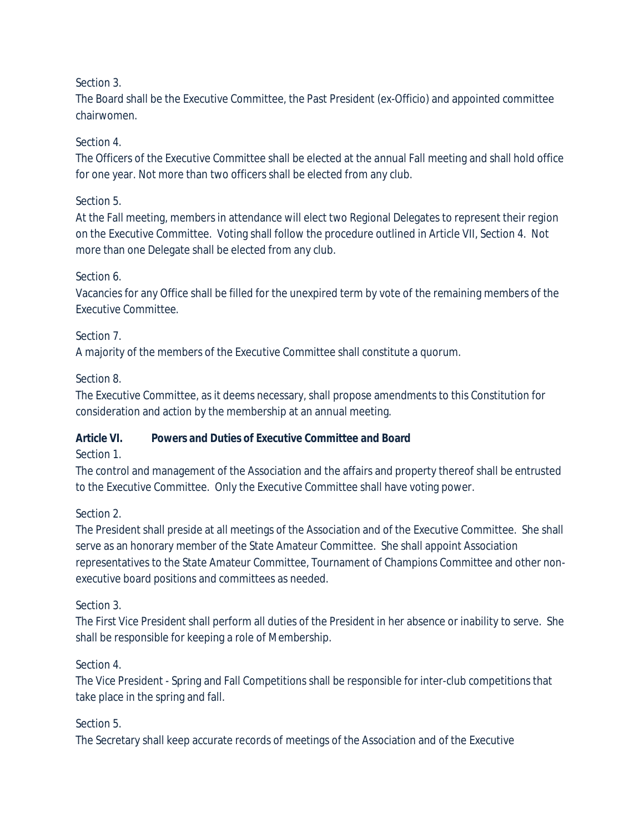# Section 3.

The Board shall be the Executive Committee, the Past President *(ex-Officio*) and appointed committee chairwomen.

### Section 4.

The Officers of the Executive Committee shall be elected at the annual Fall meeting and shall hold office for one year. Not more than two officers shall be elected from any club.

#### Section 5.

At the Fall meeting, members in attendance will elect two Regional Delegates to represent their region on the Executive Committee. Voting shall follow the procedure outlined in Article VII, Section 4. Not more than one Delegate shall be elected from any club.

#### Section 6.

Vacancies for any Office shall be filled for the unexpired term by vote of the remaining members of the Executive Committee.

#### Section 7.

A majority of the members of the Executive Committee shall constitute a quorum.

#### Section 8.

The Executive Committee, as it deems necessary, shall propose amendments to this Constitution for consideration and action by the membership at an annual meeting.

## **Article VI. Powers and Duties of Executive Committee and Board**

#### Section 1.

The control and management of the Association and the affairs and property thereof shall be entrusted to the Executive Committee. Only the Executive Committee shall have voting power.

## Section 2.

The President shall preside at all meetings of the Association and of the Executive Committee. She shall serve as an honorary member of the State Amateur Committee. She shall appoint Association representatives to the State Amateur Committee, Tournament of Champions Committee and other nonexecutive board positions and committees as needed.

#### Section 3.

The First Vice President shall perform all duties of the President in her absence or inability to serve. She shall be responsible for keeping a role of Membership.

## Section 4.

The Vice President - Spring and Fall Competitions shall be responsible for inter-club competitions that take place in the spring and fall.

## Section 5.

The Secretary shall keep accurate records of meetings of the Association and of the Executive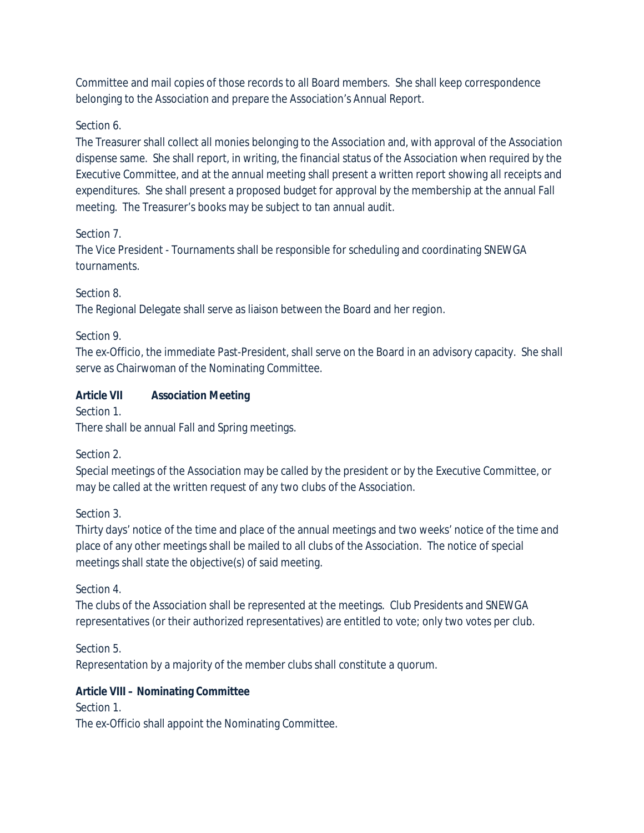Committee and mail copies of those records to all Board members. She shall keep correspondence belonging to the Association and prepare the Association's Annual Report.

## Section 6.

The Treasurer shall collect all monies belonging to the Association and, with approval of the Association dispense same. She shall report, in writing, the financial status of the Association when required by the Executive Committee, and at the annual meeting shall present a written report showing all receipts and expenditures. She shall present a proposed budget for approval by the membership at the annual Fall meeting. The Treasurer's books may be subject to tan annual audit.

## Section 7.

The Vice President - Tournaments shall be responsible for scheduling and coordinating SNEWGA tournaments.

## Section 8.

The Regional Delegate shall serve as liaison between the Board and her region.

## Section 9.

The *ex-Officio,* the immediate Past-President, shall serve on the Board in an advisory capacity. She shall serve as Chairwoman of the Nominating Committee.

# **Article VII Association Meeting**

Section 1.

There shall be annual Fall and Spring meetings.

# Section 2.

Special meetings of the Association may be called by the president or by the Executive Committee, or may be called at the written request of any two clubs of the Association.

# Section 3.

Thirty days' notice of the time and place of the annual meetings and two weeks' notice of the time and place of any other meetings shall be mailed to all clubs of the Association. The notice of special meetings shall state the objective(s) of said meeting.

# Section 4.

The clubs of the Association shall be represented at the meetings. Club Presidents and SNEWGA representatives (or their authorized representatives) are entitled to vote; only two votes per club.

Section 5. Representation by a majority of the member clubs shall constitute a quorum.

# **Article VIII – Nominating Committee**

Section 1. The *ex-Officio* shall appoint the Nominating Committee.